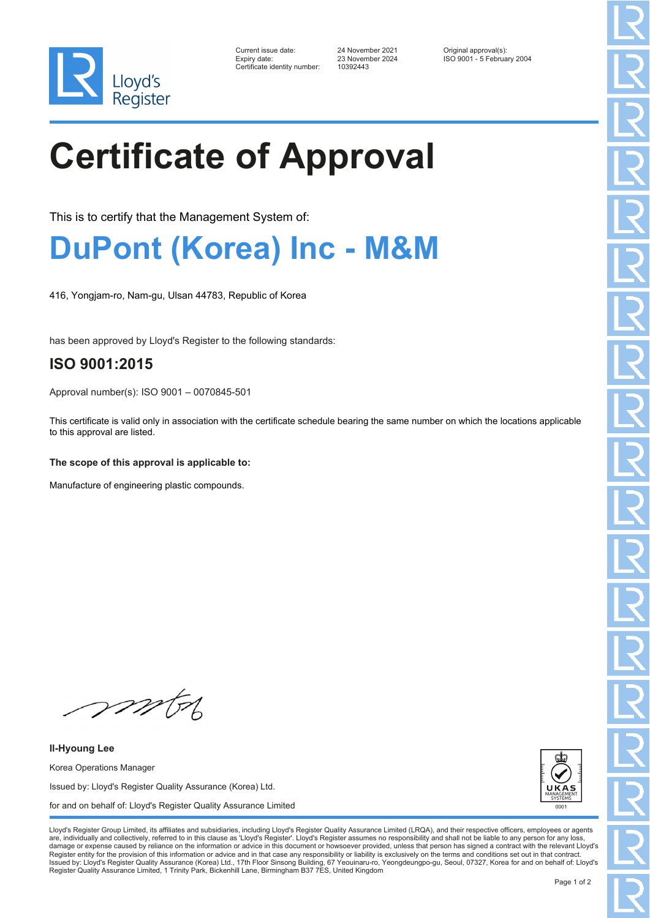

| Current issue date:         |
|-----------------------------|
| Expiry date:                |
| Certificate identity number |

Certificate identity number: 10392443

Current issue date: 24 November 2021 Original approval(s): Expiry date: 23 November 2024 ISO 9001 - 5 February 2004

# **Certificate of Approval**

This is to certify that the Management System of:

### **DuPont (Korea) Inc - M&M**

416, Yongjam-ro, Nam-gu, Ulsan 44783, Republic of Korea

has been approved by Lloyd's Register to the following standards:

### **ISO 9001:2015**

Approval number(s): ISO 9001 – 0070845-501

This certificate is valid only in association with the certificate schedule bearing the same number on which the locations applicable to this approval are listed.

**The scope of this approval is applicable to:**

Manufacture of engineering plastic compounds.

mon

**Il-Hyoung Lee** Korea Operations Manager Issued by: Lloyd's Register Quality Assurance (Korea) Ltd. for and on behalf of: Lloyd's Register Quality Assurance Limited



Lloyd's Register Group Limited, its affiliates and subsidiaries, including Lloyd's Register Quality Assurance Limited (LRQA), and their respective officers, employees or agents are, individually and collectively, referred to in this clause as 'Lloyd's Register'. Lloyd's Register assumes no responsibility and shall not be liable to any person for any los damage or expense caused by reliance on the information or advice in this document or howsoever provided, unless that person has signed a contract with the relevant Lloyd's<br>Register entity for the provision of this informa Issued by: Lloyd's Register Quality Assurance (Korea) Ltd., 17th Floor Sinsong Building, 67 Yeouinaru-ro, Yeongdeungpo-gu, Seoul, 07327, Korea for and on behalf of: Lloyd's Register Quality Assurance Limited, 1 Trinity Park, Bickenhill Lane, Birmingham B37 7ES, United Kingdom